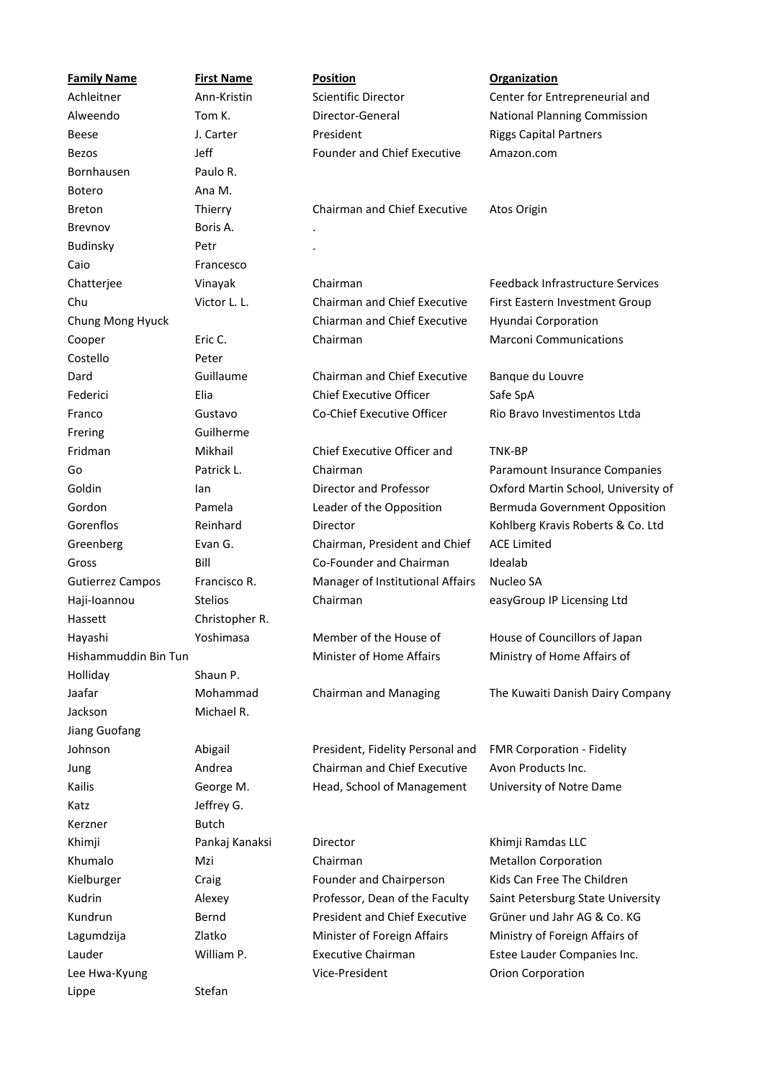| <b>Family Name</b>      | <b>First Name</b> | <b>Position</b>                      | <b>Organization</b>                  |
|-------------------------|-------------------|--------------------------------------|--------------------------------------|
| Achleitner              | Ann-Kristin       | Scientific Director                  | Center for Entrepreneurial and       |
| Alweendo                | Tom K.            | Director-General                     | National Planning Commission         |
| <b>Beese</b>            | J. Carter         | President                            | <b>Riggs Capital Partners</b>        |
| <b>Bezos</b>            | Jeff              | <b>Founder and Chief Executive</b>   | Amazon.com                           |
| Bornhausen              | Paulo R.          |                                      |                                      |
| <b>Botero</b>           | Ana M.            |                                      |                                      |
| <b>Breton</b>           | Thierry           | Chairman and Chief Executive         | Atos Origin                          |
| Brevnov                 | Boris A.          |                                      |                                      |
| Budinsky                | Petr              |                                      |                                      |
| Caio                    | Francesco         |                                      |                                      |
| Chatterjee              | Vinayak           | Chairman                             | Feedback Infrastructure Services     |
| Chu                     | Victor L. L.      | Chairman and Chief Executive         | First Eastern Investment Group       |
| Chung Mong Hyuck        |                   | Chiarman and Chief Executive         | Hyundai Corporation                  |
| Cooper                  | Eric C.           | Chairman                             | <b>Marconi Communications</b>        |
| Costello                | Peter             |                                      |                                      |
| Dard                    | Guillaume         | Chairman and Chief Executive         | Banque du Louvre                     |
| Federici                | Elia              | <b>Chief Executive Officer</b>       | Safe SpA                             |
| Franco                  | Gustavo           | Co-Chief Executive Officer           | Rio Bravo Investimentos Ltda         |
| Frering                 | Guilherme         |                                      |                                      |
| Fridman                 | Mikhail           | Chief Executive Officer and          | TNK-BP                               |
| Go                      | Patrick L.        | Chairman                             | Paramount Insurance Companies        |
| Goldin                  | lan               | Director and Professor               | Oxford Martin School, University of  |
| Gordon                  | Pamela            | Leader of the Opposition             | <b>Bermuda Government Opposition</b> |
| Gorenflos               | Reinhard          | Director                             | Kohlberg Kravis Roberts & Co. Ltd    |
| Greenberg               | Evan G.           | Chairman, President and Chief        | <b>ACE Limited</b>                   |
| Gross                   | Bill              | Co-Founder and Chairman              | Idealab                              |
| <b>Gutierrez Campos</b> | Francisco R.      | Manager of Institutional Affairs     | Nucleo SA                            |
| Haji-Ioannou            | <b>Stelios</b>    | Chairman                             | easyGroup IP Licensing Ltd           |
| Hassett                 | Christopher R.    |                                      |                                      |
| Hayashi                 | Yoshimasa         | Member of the House of               | House of Councillors of Japan        |
| Hishammuddin Bin Tun    |                   | Minister of Home Affairs             | Ministry of Home Affairs of          |
| Holliday                | Shaun P.          |                                      |                                      |
| Jaafar                  | Mohammad          | Chairman and Managing                | The Kuwaiti Danish Dairy Company     |
| Jackson                 | Michael R.        |                                      |                                      |
| Jiang Guofang           |                   |                                      |                                      |
| Johnson                 | Abigail           | President, Fidelity Personal and     | FMR Corporation - Fidelity           |
| Jung                    | Andrea            | Chairman and Chief Executive         | Avon Products Inc.                   |
| Kailis                  | George M.         | Head, School of Management           | University of Notre Dame             |
| Katz                    | Jeffrey G.        |                                      |                                      |
| Kerzner                 | <b>Butch</b>      |                                      |                                      |
| Khimji                  | Pankaj Kanaksi    | Director                             | Khimji Ramdas LLC                    |
| Khumalo                 | Mzi               | Chairman                             | <b>Metallon Corporation</b>          |
| Kielburger              | Craig             | Founder and Chairperson              | Kids Can Free The Children           |
| Kudrin                  | Alexey            | Professor, Dean of the Faculty       | Saint Petersburg State University    |
| Kundrun                 | Bernd             | <b>President and Chief Executive</b> | Grüner und Jahr AG & Co. KG          |
| Lagumdzija              | Zlatko            | Minister of Foreign Affairs          | Ministry of Foreign Affairs of       |
| Lauder                  | William P.        | <b>Executive Chairman</b>            | Estee Lauder Companies Inc.          |
| Lee Hwa-Kyung           |                   | Vice-President                       | <b>Orion Corporation</b>             |
| Lippe                   | Stefan            |                                      |                                      |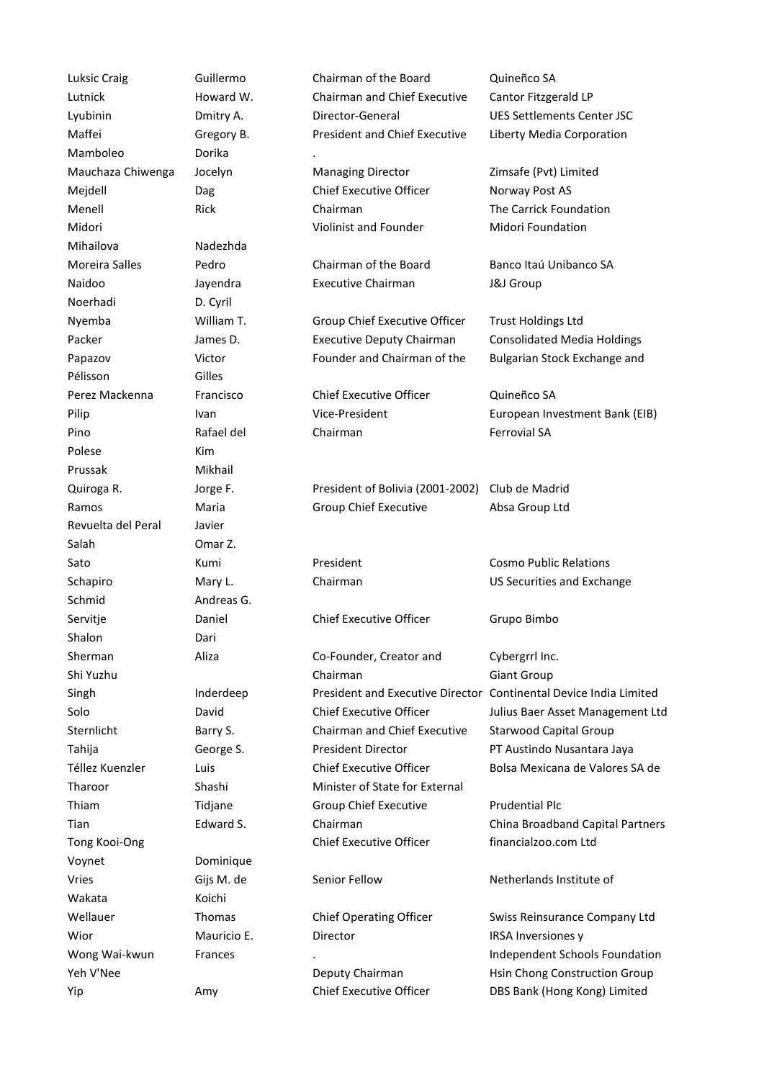Mamboleo Dorika . Mihailova Nadezhda Noerhadi D. Cyril Polese Kim Prussak Mikhail Revuelta del Peral Javier Salah Omar Z. Shalon Dari Voynet Dominique

Luksic Craig Guillermo Chairman of the Board Quineñco SA Lutnick Howard W. Chairman and Chief Executive Director-General Cantor Fitzgerald LP Lyubinin Dmitry A. Director-General UES Settlements Center JSC Maffei Gregory B. President and Chief Executive Officer Mauchaza Chiwenga Jocelyn Managing Director Zimsafe (Pvt) Limited Mejdell **Solution Dag** Chief Executive Officer Norway Post AS Menell **Rick Chairman** Chairman The Carrick Foundation Midori Violinist and Founder Midori Foundation Moreira Salles Pedro Chairman of the Board Banco Itaú Unibanco SA Naidoo Jayendra Executive Chairman J&J Group Nyemba William T. Group Chief Executive Officer Trust Holdings Ltd Packer **In Lammes D.** Executive Deputy Chairman Consolidated Media Holdings Papazov Victor Founder and Chairman of the Pélisson Gilles Central Depository Central Depository Central Depository Central Depository Central Depository Perez Mackenna Francisco Chief Executive Officer Quineñco SA Pilip Ivan Ivan Vice-President European Investment Bank (EIB) Pino Rafael del Chairman Chairman Ferrovial SA Quiroga R. Jorge F. President of Bolivia (2001-2002) Ramos **Maria Maria** Group Chief Executive Absa Group Ltd Club de Madrid Sato **Kumi Resident** Cosmo Public Relations Schapiro **Mary L.** Chairman Chairman Corporation US Securities and Exchange Schmid Andreas G. Commission (SEC) Andreas G. Commission (SEC) and SCC Andreas G. Servitje Daniel Chief Executive Officer Grupo Bimbo Sherman Aliza Co-Founder, Creator and Chairman Cybergrrl Inc. Shi Yuzhu Chairman Giant Group Singh Inderdeep President and Executive Director Continental Device India Limited Solo David Chief Executive Officer Julius Baer Asset Management Ltd Sternlicht **Barry S.** Chairman and Chief Executive President Director Tahija George S. President Director PT Austindo Nusantara Jaya Téllez Kuenzler Luis Chief Executive Officer Bolsa Mexicana de Valores SA de Tharoor Shashi Minister of State for External Thiam Tidjane Affairs of India Group Chief Executive Prudential Plc Tian Edward S. Chairman China Broadband Capital Partners Tong Kooi-Ong Chief Executive Officer Financialzoo.com Ltd Vries Cijs M. de Senior Fellow Netherlands Institute of Wakata **International Relationship International Relationship International Relationship International Relationship International Relationship International Relationship International Relationship International Relationshi** Wellauer Thomas Chief Operating Officer Swiss Reinsurance Company Ltd Wior **Mauricio E.** Director **IRSA Inversiones y** Wior Wong Wai-kwun Frances . Representationes Schools Foundationes Schools Foundationes SA Independent Schools Foundation Yeh V'Nee **Deputy Chairman** Hsin Chong Construction Group Yip Amy Amy Chief Executive Officer DBS Bank (Hong Kong) Limited

Liberty Media Corporation

Bulgarian Stock Exchange and

Starwood Capital Group